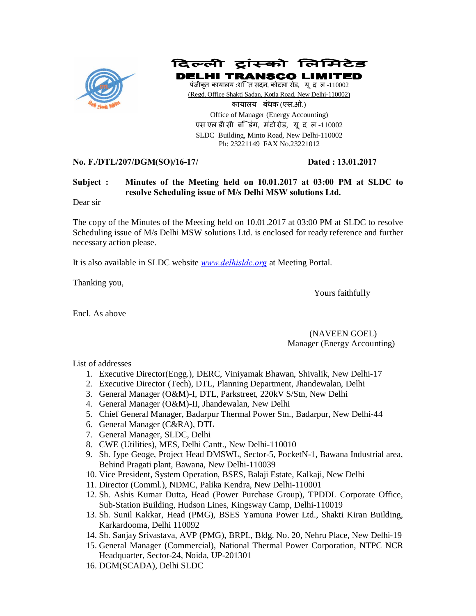

दिल्ली ट्रांस्को लिमिटेड

**DELHI TRANSCO LIM** पंजीकूत कायालय :शति सदन, कोटला रोड़, यूदल-110002 (Regd. Office Shakti Sadan, Kotla Road, New Delhi-110002) कायालय बंधक (एस.ओ.) Office of Manager (Energy Accounting) एस एल डी सी बडिंग, मंटो रोड़, यूद ल-110002 SLDC Building, Minto Road, New Delhi-110002 Ph: 23221149 FAX No.23221012

## **No. F./DTL/207/DGM(SO)/16-17/ Dated : 13.01.2017**

# **Subject : Minutes of the Meeting held on 10.01.2017 at 03:00 PM at SLDC to resolve Scheduling issue of M/s Delhi MSW solutions Ltd.**

Dear sir

The copy of the Minutes of the Meeting held on 10.01.2017 at 03:00 PM at SLDC to resolve Scheduling issue of M/s Delhi MSW solutions Ltd. is enclosed for ready reference and further necessary action please.

It is also available in SLDC website *www.delhisldc.org* at Meeting Portal.

Thanking you,

Yours faithfully

Encl. As above

#### (NAVEEN GOEL) Manager (Energy Accounting)

List of addresses

- 1. Executive Director(Engg.), DERC, Viniyamak Bhawan, Shivalik, New Delhi-17
- 2. Executive Director (Tech), DTL, Planning Department, Jhandewalan, Delhi
- 3. General Manager (O&M)-I, DTL, Parkstreet, 220kV S/Stn, New Delhi
- 4. General Manager (O&M)-II, Jhandewalan, New Delhi
- 5. Chief General Manager, Badarpur Thermal Power Stn., Badarpur, New Delhi-44
- 6. General Manager (C&RA), DTL
- 7. General Manager, SLDC, Delhi
- 8. CWE (Utilities), MES, Delhi Cantt., New Delhi-110010
- 9. Sh. Jype Geoge, Project Head DMSWL, Sector-5, PocketN-1, Bawana Industrial area, Behind Pragati plant, Bawana, New Delhi-110039
- 10. Vice President, System Operation, BSES, Balaji Estate, Kalkaji, New Delhi
- 11. Director (Comml.), NDMC, Palika Kendra, New Delhi-110001
- 12. Sh. Ashis Kumar Dutta, Head (Power Purchase Group), TPDDL Corporate Office, Sub-Station Building, Hudson Lines, Kingsway Camp, Delhi-110019
- 13. Sh. Sunil Kakkar, Head (PMG), BSES Yamuna Power Ltd., Shakti Kiran Building, Karkardooma, Delhi 110092
- 14. Sh. Sanjay Srivastava, AVP (PMG), BRPL, Bldg. No. 20, Nehru Place, New Delhi-19
- 15. General Manager (Commercial), National Thermal Power Corporation, NTPC NCR Headquarter, Sector-24, Noida, UP-201301
- 16. DGM(SCADA), Delhi SLDC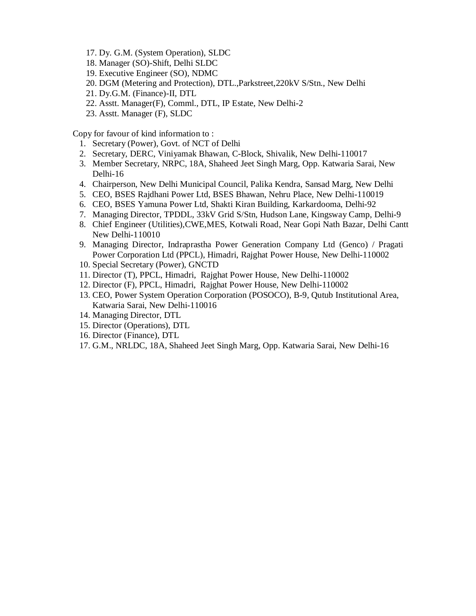- 17. Dy. G.M. (System Operation), SLDC
- 18. Manager (SO)-Shift, Delhi SLDC
- 19. Executive Engineer (SO), NDMC
- 20. DGM (Metering and Protection), DTL.,Parkstreet,220kV S/Stn., New Delhi
- 21. Dy.G.M. (Finance)-II, DTL
- 22. Asstt. Manager(F), Comml., DTL, IP Estate, New Delhi-2
- 23. Asstt. Manager (F), SLDC

Copy for favour of kind information to :

- 1. Secretary (Power), Govt. of NCT of Delhi
- 2. Secretary, DERC, Viniyamak Bhawan, C-Block, Shivalik, New Delhi-110017
- 3. Member Secretary, NRPC, 18A, Shaheed Jeet Singh Marg, Opp. Katwaria Sarai, New Delhi-16
- 4. Chairperson, New Delhi Municipal Council, Palika Kendra, Sansad Marg, New Delhi
- 5. CEO, BSES Rajdhani Power Ltd, BSES Bhawan, Nehru Place, New Delhi-110019
- 6. CEO, BSES Yamuna Power Ltd, Shakti Kiran Building, Karkardooma, Delhi-92
- 7. Managing Director, TPDDL, 33kV Grid S/Stn, Hudson Lane, Kingsway Camp, Delhi-9
- 8. Chief Engineer (Utilities),CWE,MES, Kotwali Road, Near Gopi Nath Bazar, Delhi Cantt New Delhi-110010
- 9. Managing Director, Indraprastha Power Generation Company Ltd (Genco) / Pragati Power Corporation Ltd (PPCL), Himadri, Rajghat Power House, New Delhi-110002
- 10. Special Secretary (Power), GNCTD
- 11. Director (T), PPCL, Himadri, Rajghat Power House, New Delhi-110002
- 12. Director (F), PPCL, Himadri, Rajghat Power House, New Delhi-110002
- 13. CEO, Power System Operation Corporation (POSOCO), B-9, Qutub Institutional Area, Katwaria Sarai, New Delhi-110016
- 14. Managing Director, DTL
- 15. Director (Operations), DTL
- 16. Director (Finance), DTL
- 17. G.M., NRLDC, 18A, Shaheed Jeet Singh Marg, Opp. Katwaria Sarai, New Delhi-16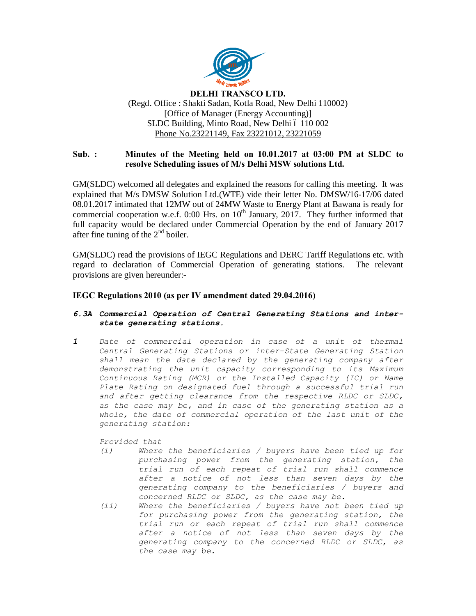

#### **DELHI TRANSCO LTD.** (Regd. Office : Shakti Sadan, Kotla Road, New Delhi 110002) [Office of Manager (Energy Accounting)] SLDC Building, Minto Road, New Delhi ó 110 002 Phone No.23221149, Fax 23221012, 23221059

## **Sub. : Minutes of the Meeting held on 10.01.2017 at 03:00 PM at SLDC to resolve Scheduling issues of M/s Delhi MSW solutions Ltd.**

GM(SLDC) welcomed all delegates and explained the reasons for calling this meeting. It was explained that M/s DMSW Solution Ltd.(WTE) vide their letter No. DMSW/16-17/06 dated 08.01.2017 intimated that 12MW out of 24MW Waste to Energy Plant at Bawana is ready for commercial cooperation w.e.f.  $0:00$  Hrs. on  $10<sup>th</sup>$  January,  $2017$ . They further informed that full capacity would be declared under Commercial Operation by the end of January 2017 after fine tuning of the  $2<sup>nd</sup>$  boiler.

GM(SLDC) read the provisions of IEGC Regulations and DERC Tariff Regulations etc. with regard to declaration of Commercial Operation of generating stations. The relevant provisions are given hereunder:-

### **IEGC Regulations 2010 (as per IV amendment dated 29.04.2016)**

#### *6.3A Commercial Operation of Central Generating Stations and interstate generating stations.*

*1 Date of commercial operation in case of a unit of thermal Central Generating Stations or inter-State Generating Station shall mean the date declared by the generating company after demonstrating the unit capacity corresponding to its Maximum Continuous Rating (MCR) or the Installed Capacity (IC) or Name Plate Rating on designated fuel through a successful trial run and after getting clearance from the respective RLDC or SLDC, as the case may be, and in case of the generating station as a whole, the date of commercial operation of the last unit of the generating station:*

*Provided that*

- *(i) Where the beneficiaries / buyers have been tied up for purchasing power from the generating station, the trial run of each repeat of trial run shall commence after a notice of not less than seven days by the generating company to the beneficiaries / buyers and concerned RLDC or SLDC, as the case may be.*
- *(ii) Where the beneficiaries / buyers have not been tied up for purchasing power from the generating station, the trial run or each repeat of trial run shall commence after a notice of not less than seven days by the generating company to the concerned RLDC or SLDC, as the case may be.*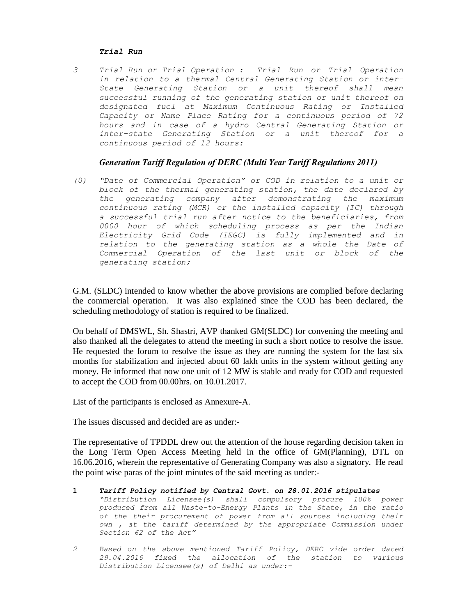#### *Trial Run*

*3 Trial Run or Trial Operation : Trial Run or Trial Operation in relation to a thermal Central Generating Station or inter-State Generating Station or a unit thereof shall mean successful running of the generating station or unit thereof on designated fuel at Maximum Continuous Rating or Installed Capacity or Name Place Rating for a continuous period of 72 hours and in case of a hydro Central Generating Station or inter-state Generating Station or a unit thereof for a continuous period of 12 hours:*

#### *Generation Tariff Regulation of DERC (Multi Year Tariff Regulations 2011)*

*(0) "Date of Commercial Operation" or COD in relation to a unit or block of the thermal generating station, the date declared by the generating company after demonstrating the maximum continuous rating (MCR) or the installed capacity (IC) through a successful trial run after notice to the beneficiaries, from 0000 hour of which scheduling process as per the Indian Electricity Grid Code (IEGC) is fully implemented and in relation to the generating station as a whole the Date of Commercial Operation of the last unit or block of the generating station;*

G.M. (SLDC) intended to know whether the above provisions are complied before declaring the commercial operation. It was also explained since the COD has been declared, the scheduling methodology of station is required to be finalized.

On behalf of DMSWL, Sh. Shastri, AVP thanked GM(SLDC) for convening the meeting and also thanked all the delegates to attend the meeting in such a short notice to resolve the issue. He requested the forum to resolve the issue as they are running the system for the last six months for stabilization and injected about 60 lakh units in the system without getting any money. He informed that now one unit of 12 MW is stable and ready for COD and requested to accept the COD from 00.00hrs. on 10.01.2017.

List of the participants is enclosed as Annexure-A.

The issues discussed and decided are as under:-

The representative of TPDDL drew out the attention of the house regarding decision taken in the Long Term Open Access Meeting held in the office of GM(Planning), DTL on 16.06.2016, wherein the representative of Generating Company was also a signatory. He read the point wise paras of the joint minutes of the said meeting as under:-

- **1** *Tariff Policy notified by Central Govt. on 28.01.2016 stipulates "Distribution Licensee(s) shall compulsory procure 100% power produced from all Waste-to-Energy Plants in the State, in the ratio of the their procurement of power from all sources including their own , at the tariff determined by the appropriate Commission under Section 62 of the Act"*
- *2 Based on the above mentioned Tariff Policy, DERC vide order dated 29.04.2016 fixed the allocation of the station to various Distribution Licensee(s) of Delhi as under:-*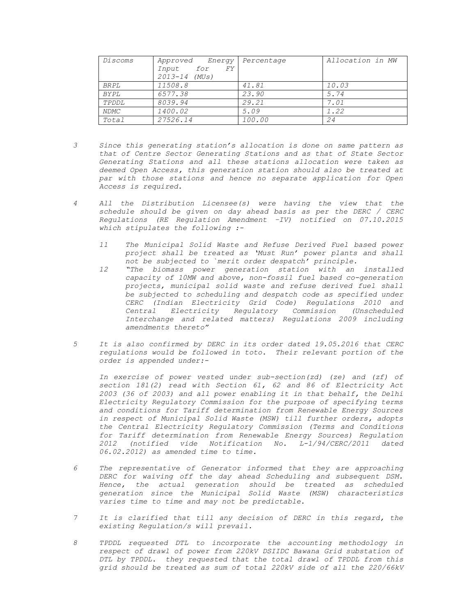| Discoms      | Approved Energy   | Percentage | Allocation in MW |  |
|--------------|-------------------|------------|------------------|--|
|              | Input for<br>FY.  |            |                  |  |
|              | $2013 - 14$ (MUs) |            |                  |  |
| <i>BR PL</i> | 11508.8           | 41.81      | 10.03            |  |
| BYPL         | 6577.38           | 23.90      | 5.74             |  |
| TPDDL        | 8039.94           | 29.21      | 7.01             |  |
| NDMC         | 1400.02           | 5.09       | 1.22             |  |
| Total        | 27526.14          | 100.00     | 24               |  |

- *3 Since this generating station's allocation is done on same pattern as that of Centre Sector Generating Stations and as that of State Sector Generating Stations and all these stations allocation were taken as deemed Open Access, this generation station should also be treated at par with those stations and hence no separate application for Open Access is required.*
- *4 All the Distribution Licensee(s) were having the view that the schedule should be given on day ahead basis as per the DERC / CERC Regulations (RE Regulation Amendment –IV) notified on 07.10.2015 which stipulates the following :-*
	- *11 The Municipal Solid Waste and Refuse Derived Fuel based power project shall be treated as 'Must Run' power plants and shall not be subjected to `merit order despatch' principle.*
	- *12 "The biomass power generation station with an installed capacity of 10MW and above, non-fossil fuel based co-generation projects, municipal solid waste and refuse derived fuel shall be subjected to scheduling and despatch code as specified under CERC (Indian Electricity Grid Code) Regulations 2010 and Central Electricity Regulatory Commission (Unscheduled Interchange and related matters) Regulations 2009 including amendments thereto"*
- *5 It is also confirmed by DERC in its order dated 19.05.2016 that CERC regulations would be followed in toto. Their relevant portion of the order is appended under:-*

*In exercise of power vested under sub-section(zd) (ze) and (zf) of section 181(2) read with Section 61, 62 and 86 of Electricity Act 2003 (36 of 2003) and all power enabling it in that behalf, the Delhi Electricity Regulatory Commission for the purpose of specifying terms and conditions for Tariff determination from Renewable Energy Sources in respect of Municipal Solid Waste (MSW) till further orders, adopts the Central Electricity Regulatory Commission (Terms and Conditions for Tariff determination from Renewable Energy Sources) Regulation 2012 (notified vide Notification No. L-1/94/CERC/2011 dated 06.02.2012) as amended time to time.*

- *6 The representative of Generator informed that they are approaching DERC for waiving off the day ahead Scheduling and subsequent DSM. Hence, the actual generation should be treated as scheduled generation since the Municipal Solid Waste (MSW) characteristics varies time to time and may not be predictable.*
- *7 It is clarified that till any decision of DERC in this regard, the existing Regulation/s will prevail.*
- *8 TPDDL requested DTL to incorporate the accounting methodology in respect of drawl of power from 220kV DSIIDC Bawana Grid substation of DTL by TPDDL. they requested that the total drawl of TPDDL from this grid should be treated as sum of total 220kV side of all the 220/66kV*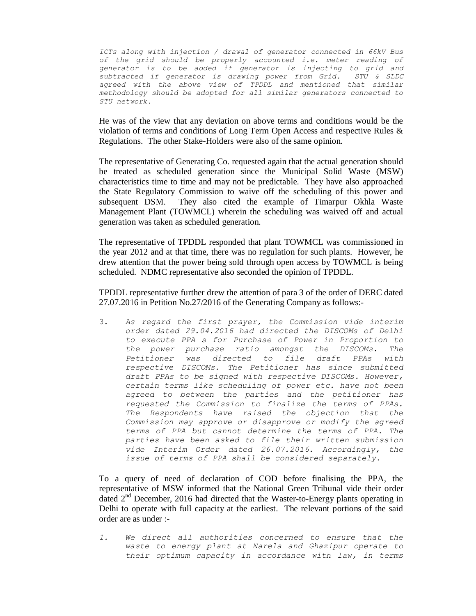*ICTs along with injection / drawal of generator connected in 66kV Bus of the grid should be properly accounted i.e. meter reading of generator is to be added if generator is injecting to grid and subtracted if generator is drawing power from Grid. STU & SLDC agreed with the above view of TPDDL and mentioned that similar methodology should be adopted for all similar generators connected to STU network.* 

He was of the view that any deviation on above terms and conditions would be the violation of terms and conditions of Long Term Open Access and respective Rules & Regulations. The other Stake-Holders were also of the same opinion.

The representative of Generating Co. requested again that the actual generation should be treated as scheduled generation since the Municipal Solid Waste (MSW) characteristics time to time and may not be predictable. They have also approached the State Regulatory Commission to waive off the scheduling of this power and subsequent DSM. They also cited the example of Timarpur Okhla Waste Management Plant (TOWMCL) wherein the scheduling was waived off and actual generation was taken as scheduled generation.

The representative of TPDDL responded that plant TOWMCL was commissioned in the year 2012 and at that time, there was no regulation for such plants. However, he drew attention that the power being sold through open access by TOWMCL is being scheduled. NDMC representative also seconded the opinion of TPDDL.

TPDDL representative further drew the attention of para 3 of the order of DERC dated 27.07.2016 in Petition No.27/2016 of the Generating Company as follows:-

3. *As regard the first prayer, the Commission vide interim order dated 29.04.2016 had directed the DISCOMs of Delhi to execute PPA s for Purchase of Power in Proportion to the power purchase ratio amongst the DISCOMs. The Petitioner was directed to file draft PPAs with respective DISCOMs. The Petitioner has since submitted draft PPAs to be signed with respective DISCOMs. However, certain terms like scheduling of power etc. have not been agreed to between the parties and the petitioner has requested the Commission to finalize the terms of PPAs. The Respondents have raised the objection that the Commission may approve or disapprove or modify the agreed terms of PPA but cannot determine the terms of PPA. The parties have been asked to file their written submission vide Interim Order dated 26.07.2016. Accordingly, the issue of terms of PPA shall be considered separately*.

To a query of need of declaration of COD before finalising the PPA, the representative of MSW informed that the National Green Tribunal vide their order dated  $2<sup>nd</sup>$  December, 2016 had directed that the Waster-to-Energy plants operating in Delhi to operate with full capacity at the earliest. The relevant portions of the said order are as under :-

*1. We direct all authorities concerned to ensure that the waste to energy plant at Narela and Ghazipur operate to their optimum capacity in accordance with law, in terms*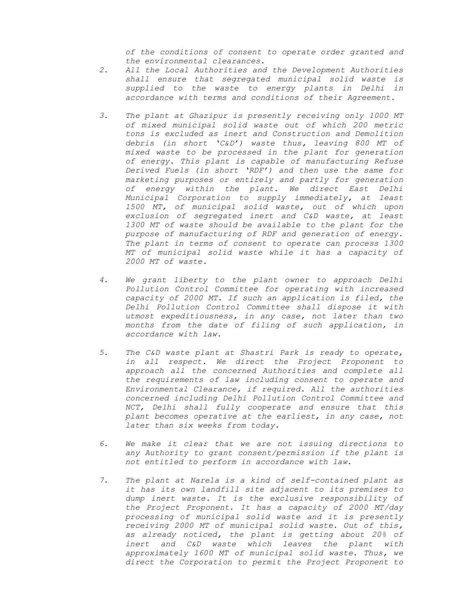*of the conditions of consent to operate order granted and the environmental clearances.* 

- *2. All the Local Authorities and the Development Authorities shall ensure that segregated municipal solid waste is supplied to the waste to energy plants in Delhi in accordance with terms and conditions of their Agreement.*
- *3. The plant at Ghazipur is presently receiving only 1000 MT of mixed municipal solid waste out of which 200 metric tons is excluded as inert and Construction and Demolition debris (in short 'C&D') waste thus, leaving 800 MT of mixed waste to be processed in the plant for generation of energy. This plant is capable of manufacturing Refuse Derived Fuels (in short 'RDF') and then use the same for marketing purposes or entirely and partly for generation of energy within the plant. We direct East Delhi Municipal Corporation to supply immediately, at least 1500 MT, of municipal solid waste, out of which upon exclusion of segregated inert and C&D waste, at least 1300 MT of waste should be available to the plant for the purpose of manufacturing of RDF and generation of energy. The plant in terms of consent to operate can process 1300 MT of municipal solid waste while it has a capacity of 2000 MT of waste.*
- *4. We grant liberty to the plant owner to approach Delhi Pollution Control Committee for operating with increased capacity of 2000 MT. If such an application is filed, the Delhi Pollution Control Committee shall dispose it with utmost expeditiousness, in any case, not later than two months from the date of filing of such application, in accordance with law.*
- *5. The C&D waste plant at Shastri Park is ready to operate, in all respect. We direct the Project Proponent to approach all the concerned Authorities and complete all the requirements of law including consent to operate and Environmental Clearance, if required. All the authorities concerned including Delhi Pollution Control Committee and NCT, Delhi shall fully cooperate and ensure that this plant becomes operative at the earliest, in any case, not later than six weeks from today.*
- *6. We make it clear that we are not issuing directions to any Authority to grant consent/permission if the plant is not entitled to perform in accordance with law.*
- *7. The plant at Narela is a kind of self-contained plant as it has its own landfill site adjacent to its premises to dump inert waste. It is the exclusive responsibility of the Project Proponent. It has a capacity of 2000 MT/day processing of municipal solid waste and it is presently receiving 2000 MT of municipal solid waste. Out of this, as already noticed, the plant is getting about 20% of inert and C&D waste which leaves the plant with approximately 1600 MT of municipal solid waste. Thus, we direct the Corporation to permit the Project Proponent to*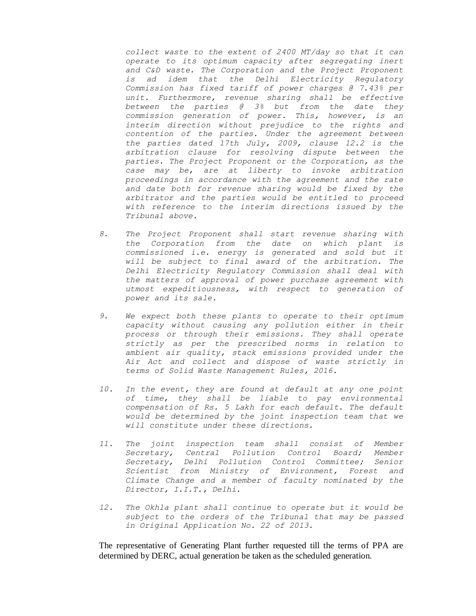*collect waste to the extent of 2400 MT/day so that it can operate to its optimum capacity after segregating inert and C&D waste. The Corporation and the Project Proponent is ad idem that the Delhi Electricity Regulatory Commission has fixed tariff of power charges @ 7.43% per unit. Furthermore, revenue sharing shall be effective between the parties @ 3% but from the date they commission generation of power. This, however, is an interim direction without prejudice to the rights and contention of the parties. Under the agreement between the parties dated 17th July, 2009, clause 12.2 is the arbitration clause for resolving dispute between the parties. The Project Proponent or the Corporation, as the case may be, are at liberty to invoke arbitration proceedings in accordance with the agreement and the rate and date both for revenue sharing would be fixed by the arbitrator and the parties would be entitled to proceed with reference to the interim directions issued by the Tribunal above.* 

- *8. The Project Proponent shall start revenue sharing with the Corporation from the date on which plant is commissioned i.e. energy is generated and sold but it will be subject to final award of the arbitration. The Delhi Electricity Regulatory Commission shall deal with the matters of approval of power purchase agreement with utmost expeditiousness, with respect to generation of power and its sale.*
- *9. We expect both these plants to operate to their optimum capacity without causing any pollution either in their process or through their emissions. They shall operate strictly as per the prescribed norms in relation to ambient air quality, stack emissions provided under the Air Act and collect and dispose of waste strictly in terms of Solid Waste Management Rules, 2016.*
- *10. In the event, they are found at default at any one point of time, they shall be liable to pay environmental compensation of Rs. 5 Lakh for each default. The default would be determined by the joint inspection team that we will constitute under these directions.*
- *11. The joint inspection team shall consist of Member Secretary, Central Pollution Control Board; Member Secretary, Delhi Pollution Control Committee; Senior Scientist from Ministry of Environment, Forest and Climate Change and a member of faculty nominated by the Director, I.I.T., Delhi.*
- *12. The Okhla plant shall continue to operate but it would be subject to the orders of the Tribunal that may be passed in Original Application No. 22 of 2013.*

The representative of Generating Plant further requested till the terms of PPA are determined by DERC, actual generation be taken as the scheduled generation.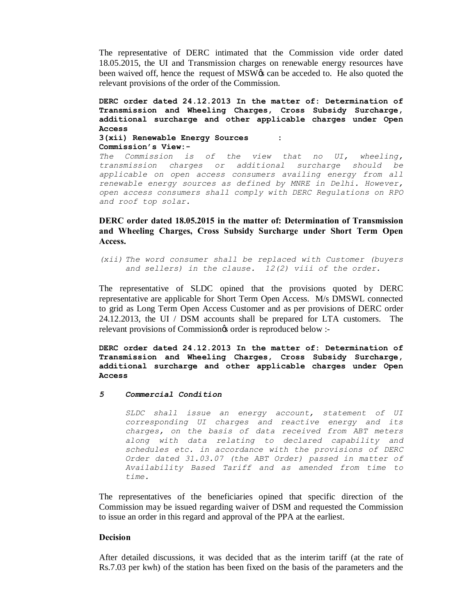The representative of DERC intimated that the Commission vide order dated 18.05.2015, the UI and Transmission charges on renewable energy resources have been waived off, hence the request of MSW $\alpha$  can be acceded to. He also quoted the relevant provisions of the order of the Commission.

**DERC order dated 24.12.2013 In the matter of: Determination of Transmission and Wheeling Charges, Cross Subsidy Surcharge, additional surcharge and other applicable charges under Open Access 3(xii) Renewable Energy Sources : Commission's View:-**

*The Commission is of the view that no UI, wheeling, transmission charges or additional surcharge should be applicable on open access consumers availing energy from all renewable energy sources as defined by MNRE in Delhi. However, open access consumers shall comply with DERC Regulations on RPO and roof top solar.*

**DERC order dated 18.05.2015 in the matter of: Determination of Transmission and Wheeling Charges, Cross Subsidy Surcharge under Short Term Open Access.**

*(xii) The word consumer shall be replaced with Customer (buyers and sellers) in the clause. 12(2) viii of the order*.

The representative of SLDC opined that the provisions quoted by DERC representative are applicable for Short Term Open Access. M/s DMSWL connected to grid as Long Term Open Access Customer and as per provisions of DERC order 24.12.2013, the UI / DSM accounts shall be prepared for LTA customers. The relevant provisions of Commission $\circ$  order is reproduced below :-

**DERC order dated 24.12.2013 In the matter of: Determination of Transmission and Wheeling Charges, Cross Subsidy Surcharge, additional surcharge and other applicable charges under Open Access**

#### *5 Commercial Condition*

*SLDC shall issue an energy account, statement of UI corresponding UI charges and reactive energy and its charges, on the basis of data received from ABT meters along with data relating to declared capability and schedules etc. in accordance with the provisions of DERC Order dated 31.03.07 (the ABT Order) passed in matter of Availability Based Tariff and as amended from time to time.*

The representatives of the beneficiaries opined that specific direction of the Commission may be issued regarding waiver of DSM and requested the Commission to issue an order in this regard and approval of the PPA at the earliest.

#### **Decision**

After detailed discussions, it was decided that as the interim tariff (at the rate of Rs.7.03 per kwh) of the station has been fixed on the basis of the parameters and the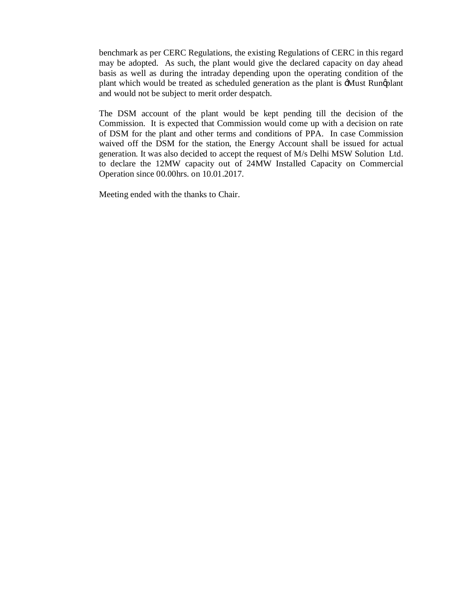benchmark as per CERC Regulations, the existing Regulations of CERC in this regard may be adopted. As such, the plant would give the declared capacity on day ahead basis as well as during the intraday depending upon the operating condition of the plant which would be treated as scheduled generation as the plant is  $\pm M$ ust Rungplant and would not be subject to merit order despatch.

The DSM account of the plant would be kept pending till the decision of the Commission. It is expected that Commission would come up with a decision on rate of DSM for the plant and other terms and conditions of PPA. In case Commission waived off the DSM for the station, the Energy Account shall be issued for actual generation. It was also decided to accept the request of M/s Delhi MSW Solution Ltd. to declare the 12MW capacity out of 24MW Installed Capacity on Commercial Operation since 00.00hrs. on 10.01.2017.

Meeting ended with the thanks to Chair.